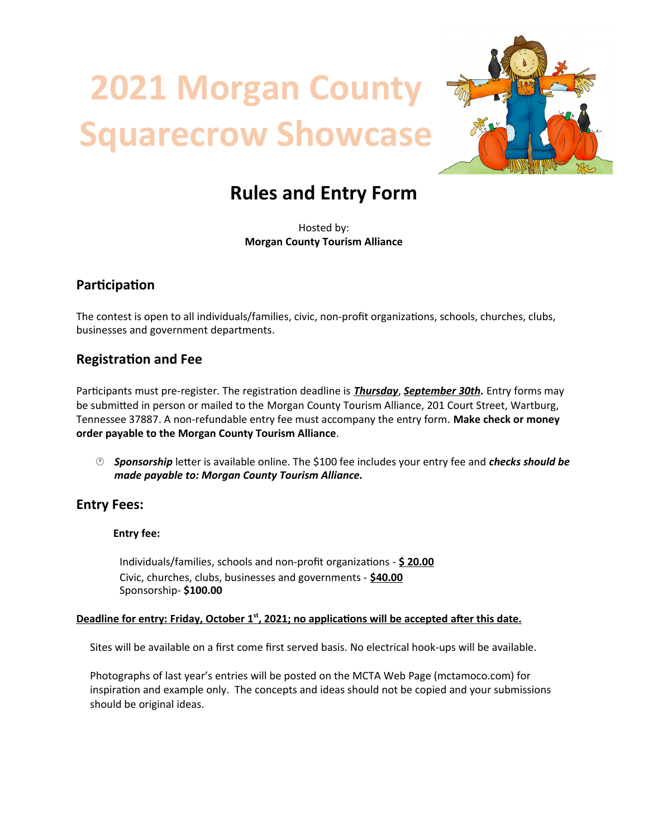# **2021 Morgan County Squarecrow Showcase**



# **Rules and Entry Form**

Hosted by: **Morgan County Tourism Alliance**

# **Participation**

The contest is open to all individuals/families, civic, non-profit organizations, schools, churches, clubs, businesses and government departments.

# **Registration and Fee**

Participants must pre-register. The registration deadline is *Thursday*, *September 30th.* Entry forms may be submitted in person or mailed to the Morgan County Tourism Alliance, 201 Court Street, Wartburg, Tennessee 37887. A non-refundable entry fee must accompany the entry form. **Make check or money order payable to the Morgan County Tourism Alliance**.

 *Sponsorship* letter is available online. The \$100 fee includes your entry fee and *checks should be made payable to: Morgan County Tourism Alliance.*

# **Entry Fees:**

#### **Entry fee:**

Individuals/families, schools and non-profit organizations - **\$ 2 0 .00** Civic, churches, clubs, businesses and governments - \$40.00 Sponsorship- **\$100.00**

#### **Deadline for entry: Friday, October 1<sup>st</sup>, 2021; no applications will be accepted after this date.**

Sites will be available on a first come first served basis. No electrical hook-ups will be available.

Photographs of last year's entries will be posted on the MCTA Web Page (mctamoco.com) for inspiration and example only. The concepts and ideas should not be copied and your submissions should be original ideas.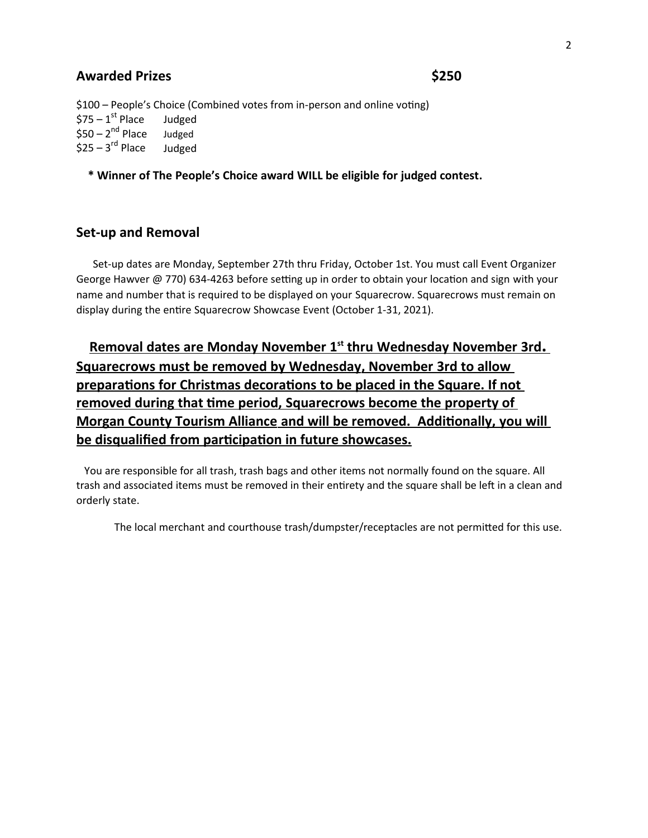#### **Awarded Prizes \$250**

\$100 – People's Choice (Combined votes from in-person and online voting)  $$75 - 1<sup>st</sup>$  Place Judged  $$50 - 2<sup>nd</sup>$  Place Judged  $$25 - 3<sup>rd</sup>$  Place Judged

**\* Winner of The People's Choice award WILL be eligible for judged contest.**

#### **Set-up and Removal**

Set-up dates are Monday, September 27th thru Friday, October 1st. You must call Event Organizer George Hawver @ 770) 634-4263 before setting up in order to obtain your location and sign with your name and number that is required to be displayed on your Squarecrow. Squarecrows must remain on display during the entire Squarecrow Showcase Event (October 1-31, 2021).

 **Removal dates are Monday November 1st thru Wednesday November 3rd . Squarecrows must be removed by Wednesday, November 3rd to allow preparations for Christmas decorations to be placed in the Square. If not removed during that time period, Squarecrows become the property of Morgan County Tourism Alliance and will be removed. Additionally, you will be disqualified from participation in future showcases.**

You are responsible for all trash, trash bags and other items not normally found on the square. All trash and associated items must be removed in their entirety and the square shall be left in a clean and orderly state.

The local merchant and courthouse trash/dumpster/receptacles are not permitted for this use.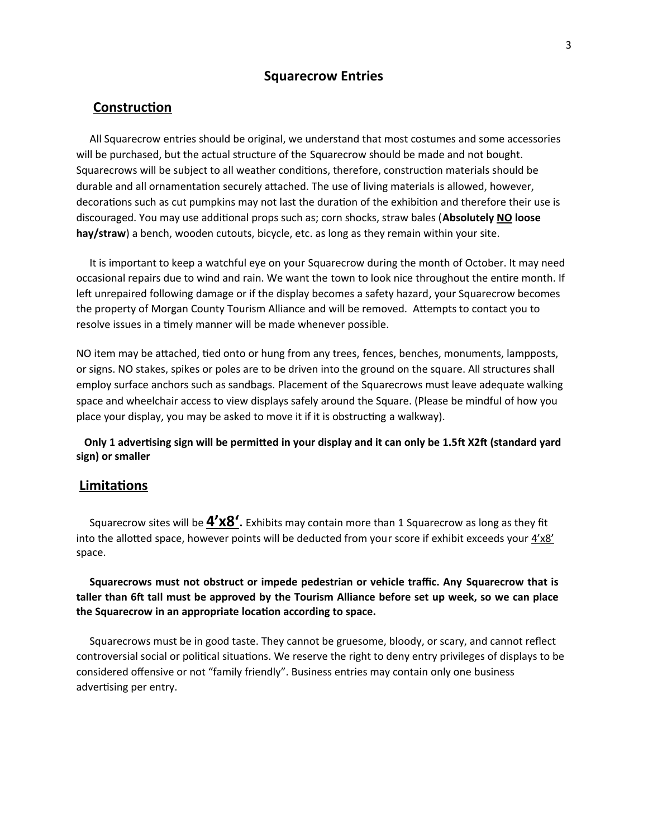#### **Squarecrow Entries**

#### **Construction**

All Squarecrow entries should be original, we understand that most costumes and some accessories will be purchased, but the actual structure of the Squarecrow should be made and not bought. Squarecrows will be subject to all weather conditions, therefore, construction materials should be durable and all ornamentation securely attached. The use of living materials is allowed, however, decorations such as cut pumpkins may not last the duration of the exhibition and therefore their use is discouraged. You may use additional props such as; corn shocks, straw bales (**Absolutely NO loose hay/straw**) a bench, wooden cutouts, bicycle, etc. as long as they remain within your site.

It is important to keep a watchful eye on your Squarecrow during the month of October. It may need occasional repairs due to wind and rain. We want the town to look nice throughout the entire month. If left unrepaired following damage or if the display becomes a safety hazard, your Squarecrow becomes the property of Morgan County Tourism Alliance and will be removed. Attempts to contact you to resolve issues in a timely manner will be made whenever possible.

NO item may be attached, tied onto or hung from any trees, fences, benches, monuments, lampposts, or signs. NO stakes, spikes or poles are to be driven into the ground on the square. All structures shall employ surface anchors such as sandbags. Placement of the Squarecrows must leave adequate walking space and wheelchair access to view displays safely around the Square. (Please be mindful of how you place your display, you may be asked to move it if it is obstructing a walkway).

**Only 1 advertising sign will be permitted in your display and it can only be 1.5ft X2ft (standard yard sign) or smaller**

#### **Limitations**

Squarecrow sites will be  $\frac{4'x8'}{$ . Exhibits may contain more than 1 Squarecrow as long as they fit into the allotted space, however points will be deducted from your score if exhibit exceeds your 4'x8' space.

**Squarecrows must not obstruct or impede pedestrian or vehicle traffic. Any Squarecrow that is taller than 6ft tall must be approved by the Tourism Alliance before set up week, so we can place the Squarecrow in an appropriate location according to space.**

Squarecrows must be in good taste. They cannot be gruesome, bloody, or scary, and cannot reflect controversial social or political situations. We reserve the right to deny entry privileges of displays to be considered offensive or not "family friendly". Business entries may contain only one business advertising per entry.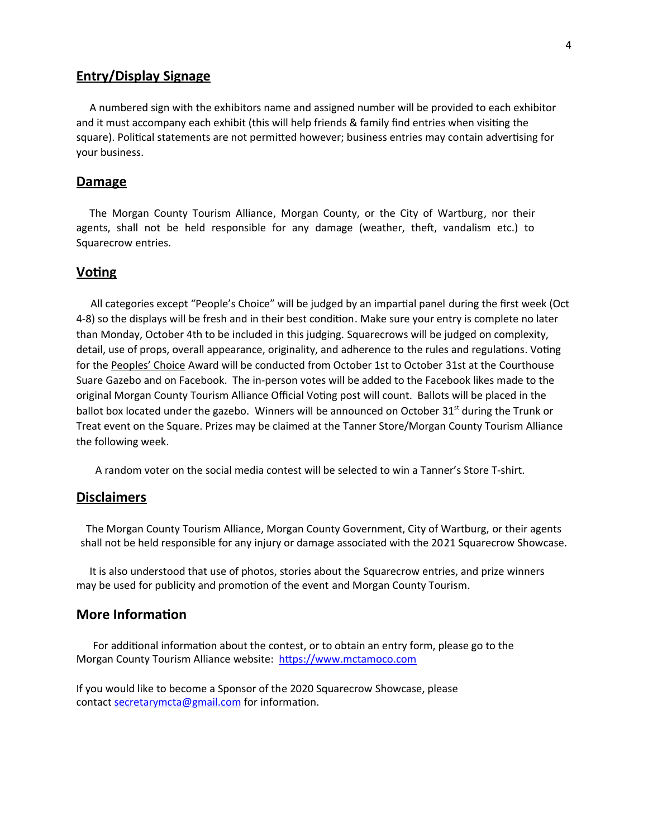### **Entry/Display Signage**

A numbered sign with the exhibitors name and assigned number will be provided to each exhibitor and it must accompany each exhibit (this will help friends & family find entries when visiting the square). Political statements are not permitted however; business entries may contain advertising for your business.

#### **Damage**

The Morgan County Tourism Alliance, Morgan County, or the City of Wartburg, nor their agents, shall not be held responsible for any damage (weather, theft, vandalism etc.) to Squarecrow entries.

#### **Voting**

All categories except "People's Choice" will be judged by an impartial panel during the first week (Oct 4-8) so the displays will be fresh and in their best condition. Make sure your entry is complete no later than Monday, October 4th to be included in this judging. Squarecrows will be judged on complexity, detail, use of props, overall appearance, originality, and adherence to the rules and regulations. Voting for the Peoples' Choice Award will be conducted from October 1st to October 31st at the Courthouse Suare Gazebo and on Facebook. The in-person votes will be added to the Facebook likes made to the original Morgan County Tourism Alliance Official Voting post will count. Ballots will be placed in the ballot box located under the gazebo. Winners will be announced on October 31<sup>st</sup> during the Trunk or Treat event on the Square. Prizes may be claimed at the Tanner Store/Morgan County Tourism Alliance the following week.

A random voter on the social media contest will be selected to win a Tanner's Store T-shirt.

#### **Disclaimers**

The Morgan County Tourism Alliance, Morgan County Government, City of Wartburg, or their agents shall not be held responsible for any injury or damage associated with the 2021 Squarecrow Showcase.

It is also understood that use of photos, stories about the Squarecrow entries, and prize winners may be used for publicity and promotion of the event and Morgan County Tourism.

#### **More Information**

For additional information about the contest, or to obtain an entry form, please go to the Morgan County Tourism Alliance website: https://www.mctamoco.com

If you would like to become a Sponsor of the 2020 Squarecrow Showcase, please contact [secretarymcta@gmail.com](mailto:secretarymcta@gmail.com) for information.